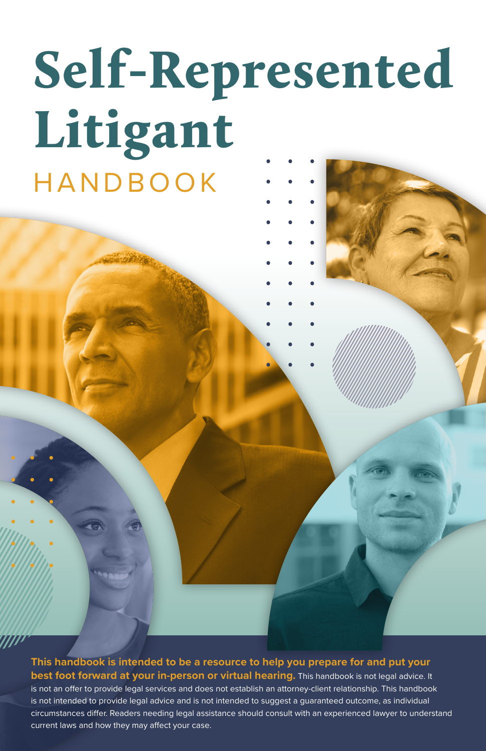# Self-Represented Litigant HANDBOOK

**This handbook is intended to be a resource to help you prepare for and put your best foot forward at your in-person or virtual hearing.** This handbook is not legal advice. It is not an offer to provide legal services and does not establish an attorney-client relationship. This handbook is not intended to provide legal advice and is not intended to suggest a guaranteed outcome, as individual circumstances differ. Readers needing legal assistance should consult with an experienced lawyer to understand current laws and how they may affect your case.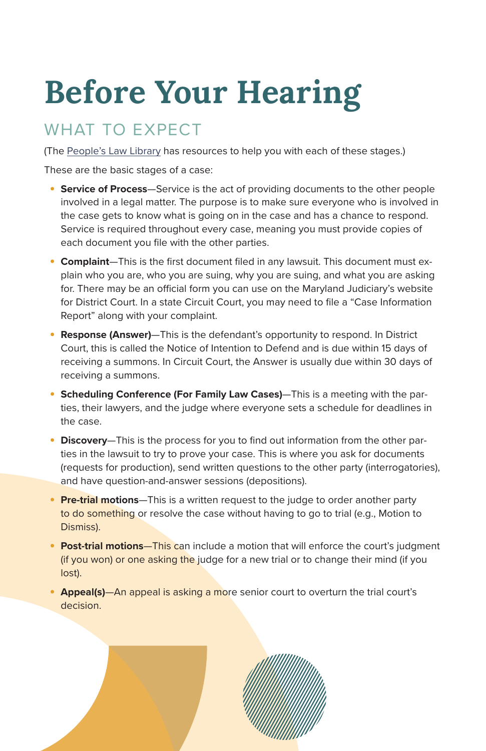## Before Your Hearing

## WHAT TO EXPECT

(The [People's Law Library](https://www.peoples-law.org/index.php/cat/how-do-i) has resources to help you with each of these stages.)

These are the basic stages of a case:

- **• Service of Process**—Service is the act of providing documents to the other people involved in a legal matter. The purpose is to make sure everyone who is involved in the case gets to know what is going on in the case and has a chance to respond. Service is required throughout every case, meaning you must provide copies of each document you file with the other parties.
- **• Complaint**—This is the first document filed in any lawsuit. This document must explain who you are, who you are suing, why you are suing, and what you are asking for. There may be an official form you can use on the Maryland Judiciary's website for District Court. In a state Circuit Court, you may need to file a "Case Information Report" along with your complaint.
- **• Response (Answer)**—This is the defendant's opportunity to respond. In District Court, this is called the Notice of Intention to Defend and is due within 15 days of receiving a summons. In Circuit Court, the Answer is usually due within 30 days of receiving a summons.
- **• Scheduling Conference (For Family Law Cases)**—This is a meeting with the parties, their lawyers, and the judge where everyone sets a schedule for deadlines in the case.
- **• Discovery**—This is the process for you to find out information from the other parties in the lawsuit to try to prove your case. This is where you ask for documents (requests for production), send written questions to the other party (interrogatories), and have question-and-answer sessions (depositions).
- **• Pre-trial motions**—This is a written request to the judge to order another party to do something or resolve the case without having to go to trial (e.g., Motion to Dismiss).
- **• Post-trial motions**—This can include a motion that will enforce the court's judgment (if you won) or one asking the judge for a new trial or to change their mind (if you lost).
- **• Appeal(s)**—An appeal is asking a more senior court to overturn the trial court's decision.

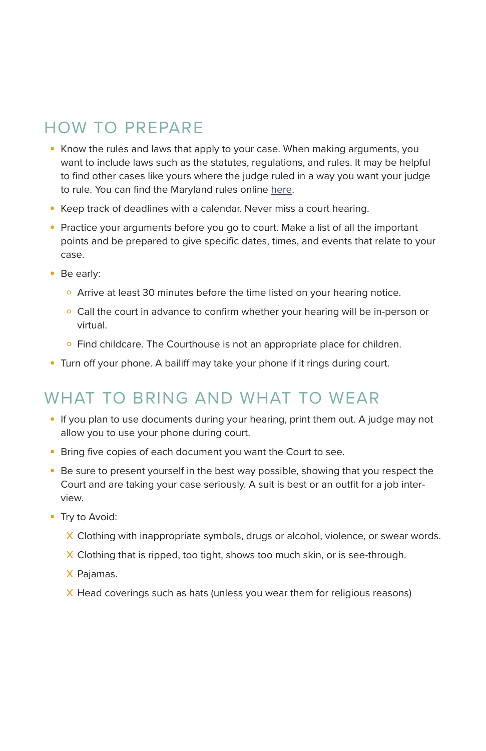## HOW TO PREPARE

- **•** Know the rules and laws that apply to your case. When making arguments, you want to include laws such as the statutes, regulations, and rules. It may be helpful to find other cases like yours where the judge ruled in a way you want your judge to rule. You can find the Maryland rules online [here.](https://govt.westlaw.com/mdc/Browse/Home/Maryland/MarylandCodeCourtRules?guid=ND4CC33B09CCE11DB9BCF9DAC28345A2A&originationContext=documenttoc&transitionType=Default&contextData=(sc.Default)&bhcp=1)
- **•** Keep track of deadlines with a calendar. Never miss a court hearing.
- **•** Practice your arguments before you go to court. Make a list of all the important points and be prepared to give specific dates, times, and events that relate to your case.
- **•** Be early:
	- Arrive at least 30 minutes before the time listed on your hearing notice.
	- Call the court in advance to confirm whether your hearing will be in-person or virtual.
	- Find childcare. The Courthouse is not an appropriate place for children.
- **•** Turn off your phone. A bailiff may take your phone if it rings during court.

### WHAT TO BRING AND WHAT TO WEAR

- **•** If you plan to use documents during your hearing, print them out. A judge may not allow you to use your phone during court.
- **•** Bring five copies of each document you want the Court to see.
- **•** Be sure to present yourself in the best way possible, showing that you respect the Court and are taking your case seriously. A suit is best or an outfit for a job interview.
- **•** Try to Avoid:
	- x Clothing with inappropriate symbols, drugs or alcohol, violence, or swear words.
	- x Clothing that is ripped, too tight, shows too much skin, or is see-through.
	- x Pajamas.
	- $X$  Head coverings such as hats (unless you wear them for religious reasons)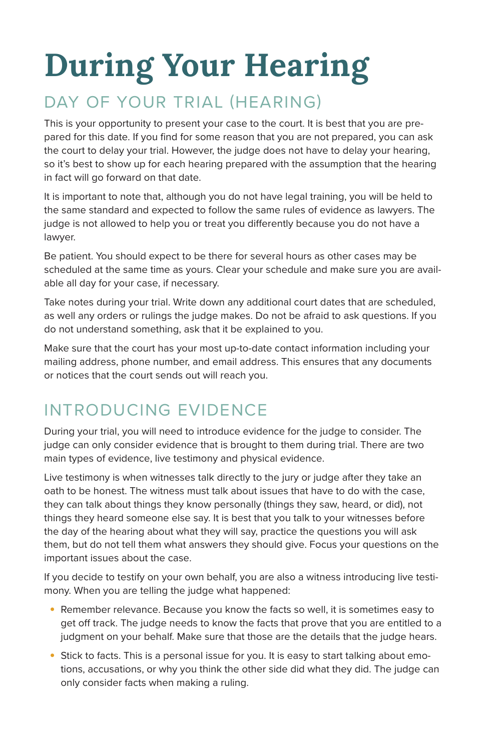# During Your Hearing

## DAY OF YOUR TRIAL (HEARING)

This is your opportunity to present your case to the court. It is best that you are prepared for this date. If you find for some reason that you are not prepared, you can ask the court to delay your trial. However, the judge does not have to delay your hearing, so it's best to show up for each hearing prepared with the assumption that the hearing in fact will go forward on that date.

It is important to note that, although you do not have legal training, you will be held to the same standard and expected to follow the same rules of evidence as lawyers. The judge is not allowed to help you or treat you differently because you do not have a lawyer.

Be patient. You should expect to be there for several hours as other cases may be scheduled at the same time as yours. Clear your schedule and make sure you are available all day for your case, if necessary.

Take notes during your trial. Write down any additional court dates that are scheduled, as well any orders or rulings the judge makes. Do not be afraid to ask questions. If you do not understand something, ask that it be explained to you.

Make sure that the court has your most up-to-date contact information including your mailing address, phone number, and email address. This ensures that any documents or notices that the court sends out will reach you.

## INTRODUCING EVIDENCE

During your trial, you will need to introduce evidence for the judge to consider. The judge can only consider evidence that is brought to them during trial. There are two main types of evidence, live testimony and physical evidence.

Live testimony is when witnesses talk directly to the jury or judge after they take an oath to be honest. The witness must talk about issues that have to do with the case, they can talk about things they know personally (things they saw, heard, or did), not things they heard someone else say. It is best that you talk to your witnesses before the day of the hearing about what they will say, practice the questions you will ask them, but do not tell them what answers they should give. Focus your questions on the important issues about the case.

If you decide to testify on your own behalf, you are also a witness introducing live testimony. When you are telling the judge what happened:

- **•** Remember relevance. Because you know the facts so well, it is sometimes easy to get off track. The judge needs to know the facts that prove that you are entitled to a judgment on your behalf. Make sure that those are the details that the judge hears.
- **•** Stick to facts. This is a personal issue for you. It is easy to start talking about emotions, accusations, or why you think the other side did what they did. The judge can only consider facts when making a ruling.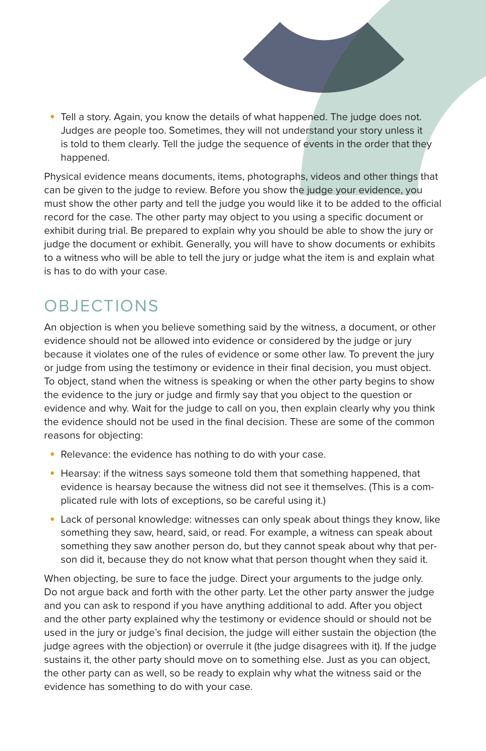**•** Tell a story. Again, you know the details of what happened. The judge does not. Judges are people too. Sometimes, they will not understand your story unless it is told to them clearly. Tell the judge the sequence of events in the order that they happened.

Physical evidence means documents, items, photographs, videos and other things that can be given to the judge to review. Before you show the judge your evidence, you must show the other party and tell the judge you would like it to be added to the official record for the case. The other party may object to you using a specific document or exhibit during trial. Be prepared to explain why you should be able to show the jury or judge the document or exhibit. Generally, you will have to show documents or exhibits to a witness who will be able to tell the jury or judge what the item is and explain what is has to do with your case.

### **OBJECTIONS**

An objection is when you believe something said by the witness, a document, or other evidence should not be allowed into evidence or considered by the judge or jury because it violates one of the rules of evidence or some other law. To prevent the jury or judge from using the testimony or evidence in their final decision, you must object. To object, stand when the witness is speaking or when the other party begins to show the evidence to the jury or judge and firmly say that you object to the question or evidence and why. Wait for the judge to call on you, then explain clearly why you think the evidence should not be used in the final decision. These are some of the common reasons for objecting:

- **•** Relevance: the evidence has nothing to do with your case.
- **•** Hearsay: if the witness says someone told them that something happened, that evidence is hearsay because the witness did not see it themselves. (This is a complicated rule with lots of exceptions, so be careful using it.)
- **•** Lack of personal knowledge: witnesses can only speak about things they know, like something they saw, heard, said, or read. For example, a witness can speak about something they saw another person do, but they cannot speak about why that person did it, because they do not know what that person thought when they said it.

When objecting, be sure to face the judge. Direct your arguments to the judge only. Do not argue back and forth with the other party. Let the other party answer the judge and you can ask to respond if you have anything additional to add. After you object and the other party explained why the testimony or evidence should or should not be used in the jury or judge's final decision, the judge will either sustain the objection (the judge agrees with the objection) or overrule it (the judge disagrees with it). If the judge sustains it, the other party should move on to something else. Just as you can object, the other party can as well, so be ready to explain why what the witness said or the evidence has something to do with your case.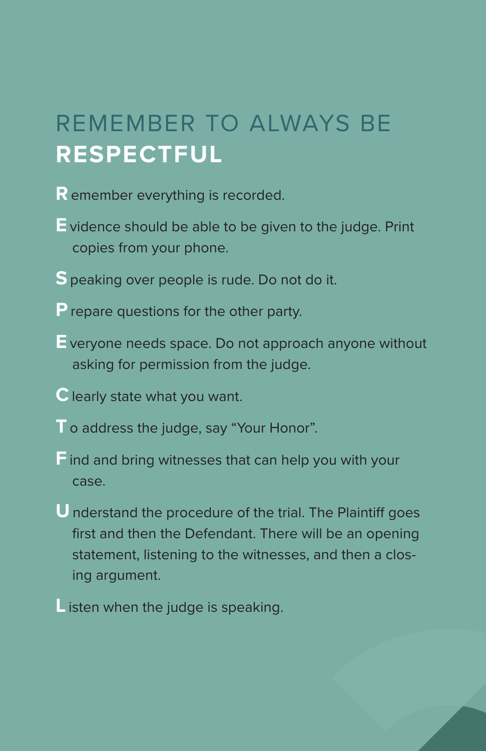## REMEMBER TO ALWAYS BE **RESPECTFUL**

- **R**emember everything is recorded.
- **E**vidence should be able to be given to the judge. Print copies from your phone.
- **S**peaking over people is rude. Do not do it.
- **P**repare questions for the other party.
- **E**veryone needs space. Do not approach anyone without asking for permission from the judge.
- **C**learly state what you want.
- **T**o address the judge, say "Your Honor".
- **F**ind and bring witnesses that can help you with your case.
- **U**nderstand the procedure of the trial. The Plaintiff goes first and then the Defendant. There will be an opening statement, listening to the witnesses, and then a closing argument.
- **L** isten when the judge is speaking.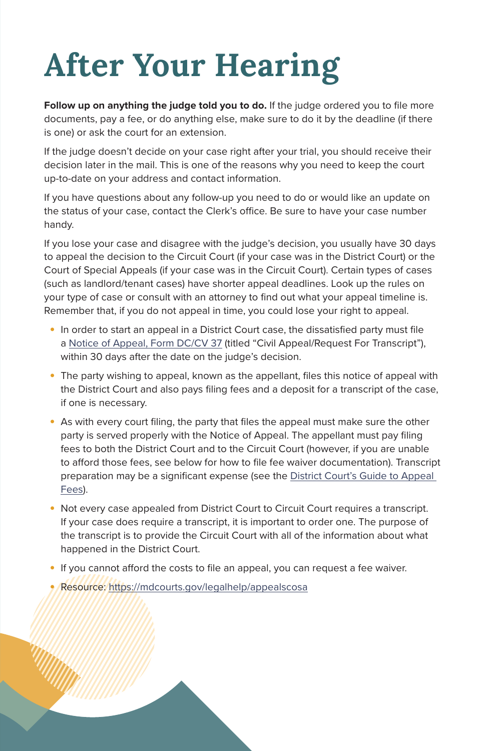## After Your Hearing

Follow up on anything the judge told you to do. If the judge ordered you to file more documents, pay a fee, or do anything else, make sure to do it by the deadline (if there is one) or ask the court for an extension.

If the judge doesn't decide on your case right after your trial, you should receive their decision later in the mail. This is one of the reasons why you need to keep the court up-to-date on your address and contact information.

If you have questions about any follow-up you need to do or would like an update on the status of your case, contact the Clerk's office. Be sure to have your case number handy.

If you lose your case and disagree with the judge's decision, you usually have 30 days to appeal the decision to the Circuit Court (if your case was in the District Court) or the Court of Special Appeals (if your case was in the Circuit Court). Certain types of cases (such as landlord/tenant cases) have shorter appeal deadlines. Look up the rules on your type of case or consult with an attorney to find out what your appeal timeline is. Remember that, if you do not appeal in time, you could lose your right to appeal.

- **•** In order to start an appeal in a District Court case, the dissatisfied party must file a [Notice of Appeal, Form DC/CV 37](http://www.courts.state.md.us/district/forms/civil/dccv037.pdf) (titled "Civil Appeal/Request For Transcript"), within 30 days after the date on the judge's decision.
- **•** The party wishing to appeal, known as the appellant, files this notice of appeal with the District Court and also pays filing fees and a deposit for a transcript of the case, if one is necessary.
- **•** As with every court filing, the party that files the appeal must make sure the other party is served properly with the Notice of Appeal. The appellant must pay filing fees to both the District Court and to the Circuit Court (however, if you are unable to afford those fees, see below for how to file fee waiver documentation). Transcript preparation may be a significant expense (see the [District Court's Guide to Appeal](http://www.courts.state.md.us/district/forms/acct/dca109a.pdf)  [Fees\)](http://www.courts.state.md.us/district/forms/acct/dca109a.pdf).
- **•** Not every case appealed from District Court to Circuit Court requires a transcript. If your case does require a transcript, it is important to order one. The purpose of the transcript is to provide the Circuit Court with all of the information about what happened in the District Court.
- **•** If you cannot afford the costs to file an appeal, you can request a fee waiver.
- **•** Resource: <https://mdcourts.gov/legalhelp/appealscosa>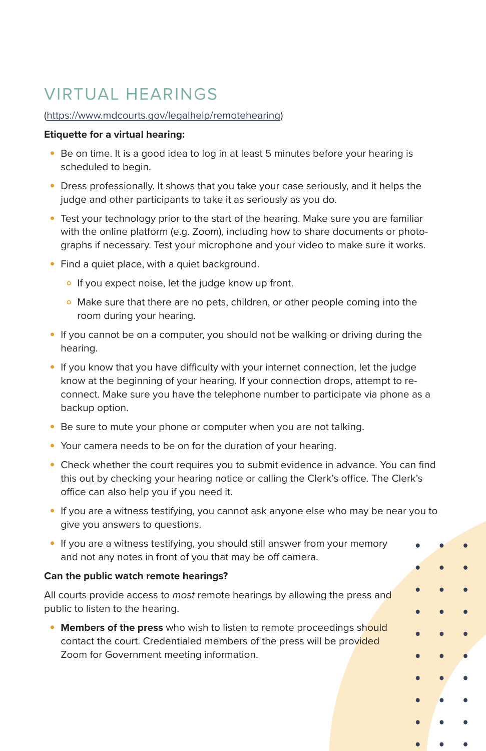## VIRTUAL HEARINGS

#### [\(https://www.mdcourts.gov/legalhelp/remotehearing\)](https://www.mdcourts.gov/legalhelp/remotehearing)

#### **Etiquette for a virtual hearing:**

- **•** Be on time. It is a good idea to log in at least 5 minutes before your hearing is scheduled to begin.
- **•** Dress professionally. It shows that you take your case seriously, and it helps the judge and other participants to take it as seriously as you do.
- **•** Test your technology prior to the start of the hearing. Make sure you are familiar with the online platform (e.g. Zoom), including how to share documents or photographs if necessary. Test your microphone and your video to make sure it works.
- **•** Find a quiet place, with a quiet background.
	- If you expect noise, let the judge know up front.
	- Make sure that there are no pets, children, or other people coming into the room during your hearing.
- **•** If you cannot be on a computer, you should not be walking or driving during the hearing.
- **•** If you know that you have difficulty with your internet connection, let the judge know at the beginning of your hearing. If your connection drops, attempt to reconnect. Make sure you have the telephone number to participate via phone as a backup option.
- **•** Be sure to mute your phone or computer when you are not talking.
- **•** Your camera needs to be on for the duration of your hearing.
- **•** Check whether the court requires you to submit evidence in advance. You can find this out by checking your hearing notice or calling the Clerk's office. The Clerk's office can also help you if you need it.
- **•** If you are a witness testifying, you cannot ask anyone else who may be near you to give you answers to questions.

 $\bullet$  $\bullet$ 

 $\bullet$ 

ó  $\bullet$ 

 $\bullet$  $\bullet$  $\bullet$ 

 $\bullet$  $\bullet$ 

 $\bullet$ ö

**•** If you are a witness testifying, you should still answer from your memory and not any notes in front of you that may be off camera.

#### **Can the public watch remote hearings?**

All courts provide access to *most* remote hearings by allowing the press and public to listen to the hearing.

• **Members of the press** who wish to listen to remote proceedings should contact the court. Credentialed members of the press will be provided Zoom for Government meeting information.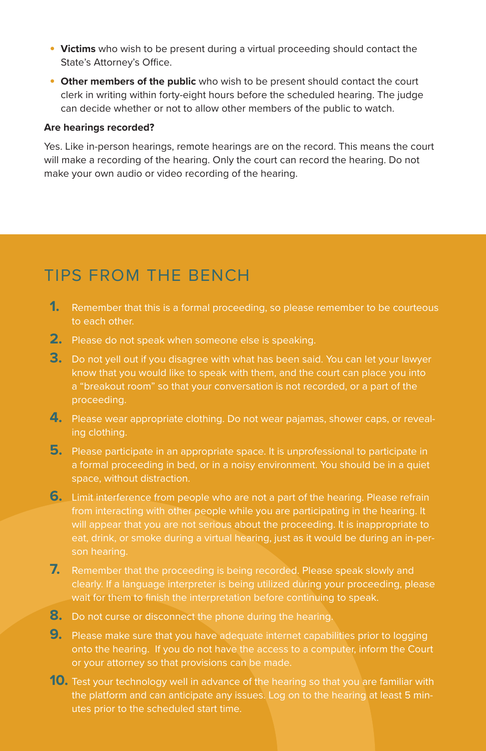- **• Victims** who wish to be present during a virtual proceeding should contact the State's Attorney's Office.
- **• Other members of the public** who wish to be present should contact the court clerk in writing within forty-eight hours before the scheduled hearing. The judge can decide whether or not to allow other members of the public to watch.

#### **Are hearings recorded?**

Yes. Like in-person hearings, remote hearings are on the record. This means the court will make a recording of the hearing. Only the court can record the hearing. Do not make your own audio or video recording of the hearing.

### TIPS FROM THE BENCH

- **1.** Remember that this is a formal proceeding, so please remember to be courteous to each other.
- **2.** Please do not speak when someone else is speaking.
- **3.** Do not yell out if you disagree with what has been said. You can let your lawyer know that you would like to speak with them, and the court can place you into a "breakout room" so that your conversation is not recorded, or a part of the proceeding.
- **4.** Please wear appropriate clothing. Do not wear pajamas, shower caps, or revealing clothing.
- **5.** Please participate in an appropriate space. It is unprofessional to participate in a formal proceeding in bed, or in a noisy environment. You should be in a quiet space, without distraction.
- **6.** Limit interference from people who are not a part of the hearing. Please refrain will appear that you are not serious about the proceeding. It is inappropriate to eat, drink, or smoke during a virtual hearing, just as it would be during an in-per-
- **7.** Remember that the proceeding is being recorded. Please speak slowly and clearly. If a language interpreter is being utilized during your proceeding, please wait for them to finish the interpretation before continuing to speak.
- **8.** Do not curse or disconnect the phone during the hearing.
- **9.** Please make sure that you have adequate internet capabilities prior to logging onto the hearing. If you do not have the access to a computer, inform the Court or your attorney so that provisions can be made.
- **10.** Test your technology well in advance of the hearing so that you are familiar with the platform and can anticipate any issues. Log on to the hearing at least 5 minutes prior to the scheduled start time.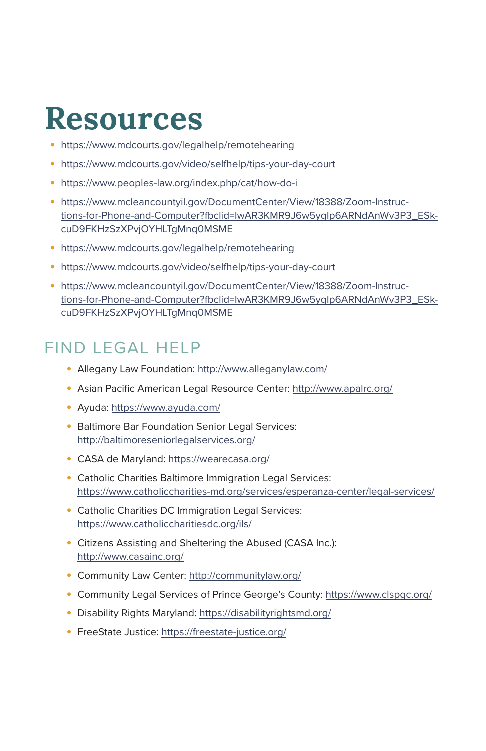## Resources

- **•** <https://www.mdcourts.gov/legalhelp/remotehearing>
- **•** <https://www.mdcourts.gov/video/selfhelp/tips-your-day-court>
- **•** <https://www.peoples-law.org/index.php/cat/how-do-i>
- **•** [https://www.mcleancountyil.gov/DocumentCenter/View/18388/Zoom-Instruc](https://www.mcleancountyil.gov/DocumentCenter/View/18388/Zoom-Instructions-for-Phone-and-Computer?fb)[tions-for-Phone-and-Computer?fbclid=IwAR3KMR9J6w5ygIp6ARNdAnWv3P3\\_ESk](https://www.mcleancountyil.gov/DocumentCenter/View/18388/Zoom-Instructions-for-Phone-and-Computer?fb)[cuD9FKHzSzXPvjOYHLTgMnq0MSME](https://www.mcleancountyil.gov/DocumentCenter/View/18388/Zoom-Instructions-for-Phone-and-Computer?fb)
- **•** <https://www.mdcourts.gov/legalhelp/remotehearing>
- **•** <https://www.mdcourts.gov/video/selfhelp/tips-your-day-court>
- **•** [https://www.mcleancountyil.gov/DocumentCenter/View/18388/Zoom-Instruc](https://www.mcleancountyil.gov/DocumentCenter/View/18388/Zoom-Instructions-for-Phone-and-Computer?fb)[tions-for-Phone-and-Computer?fbclid=IwAR3KMR9J6w5ygIp6ARNdAnWv3P3\\_ESk](https://www.mcleancountyil.gov/DocumentCenter/View/18388/Zoom-Instructions-for-Phone-and-Computer?fb)[cuD9FKHzSzXPvjOYHLTgMnq0MSME](https://www.mcleancountyil.gov/DocumentCenter/View/18388/Zoom-Instructions-for-Phone-and-Computer?fb)

## FIND LEGAL HELP

- **•** Allegany Law Foundation:<http://www.alleganylaw.com/>
- **•** Asian Pacific American Legal Resource Center: <http://www.apalrc.org/>
- **•** Ayuda: <https://www.ayuda.com/>
- **•** Baltimore Bar Foundation Senior Legal Services: <http://baltimoreseniorlegalservices.org/>
- **•** CASA de Maryland:<https://wearecasa.org/>
- **•** Catholic Charities Baltimore Immigration Legal Services: <https://www.catholiccharities-md.org/services/esperanza-center/legal-services/>
- **•** Catholic Charities DC Immigration Legal Services: <https://www.catholiccharitiesdc.org/ils/>
- **•** Citizens Assisting and Sheltering the Abused (CASA Inc.): <http://www.casainc.org/>
- **•** Community Law Center:<http://communitylaw.org/>
- **•** Community Legal Services of Prince George's County:<https://www.clspgc.org/>
- **•** Disability Rights Maryland: <https://disabilityrightsmd.org/>
- **•** FreeState Justice: <https://freestate-justice.org/>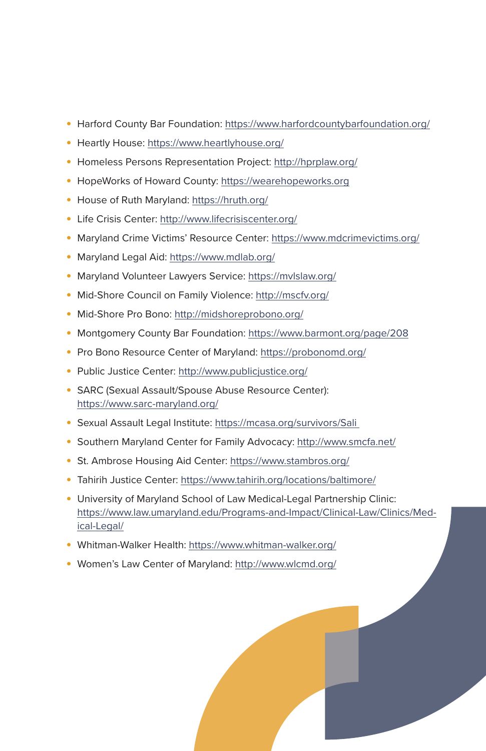- **•** Harford County Bar Foundation: <https://www.harfordcountybarfoundation.org/>
- **•** Heartly House:<https://www.heartlyhouse.org/>
- **•** Homeless Persons Representation Project:<http://hprplaw.org/>
- **•** HopeWorks of Howard County:<https://wearehopeworks.org>
- **•** House of Ruth Maryland: <https://hruth.org/>
- **•** Life Crisis Center: <http://www.lifecrisiscenter.org/>
- **•** Maryland Crime Victims' Resource Center:<https://www.mdcrimevictims.org/>
- **•** Maryland Legal Aid:<https://www.mdlab.org/>
- **•** Maryland Volunteer Lawyers Service:<https://mvlslaw.org/>
- **•** Mid-Shore Council on Family Violence: <http://mscfv.org/>
- **•** Mid-Shore Pro Bono:<http://midshoreprobono.org/>
- **•** Montgomery County Bar Foundation: <https://www.barmont.org/page/208>
- **•** Pro Bono Resource Center of Maryland:<https://probonomd.org/>
- **•** Public Justice Center: <http://www.publicjustice.org/>
- **•** SARC (Sexual Assault/Spouse Abuse Resource Center): <https://www.sarc-maryland.org/>
- **•** Sexual Assault Legal Institute:<https://mcasa.org/survivors/Sali>
- **•** Southern Maryland Center for Family Advocacy:<http://www.smcfa.net/>
- **•** St. Ambrose Housing Aid Center: <https://www.stambros.org/>
- **•** Tahirih Justice Center:<https://www.tahirih.org/locations/baltimore/>
- **•** University of Maryland School of Law Medical-Legal Partnership Clinic: [https://www.law.umaryland.edu/Programs-and-Impact/Clinical-Law/Clinics/Med](https://www.law.umaryland.edu/Programs-and-Impact/Clinical-Law/Clinics/Medical-Legal/)[ical-Legal/](https://www.law.umaryland.edu/Programs-and-Impact/Clinical-Law/Clinics/Medical-Legal/)
- **•** Whitman-Walker Health: <https://www.whitman-walker.org/>
- **•** Women's Law Center of Maryland: <http://www.wlcmd.org/>